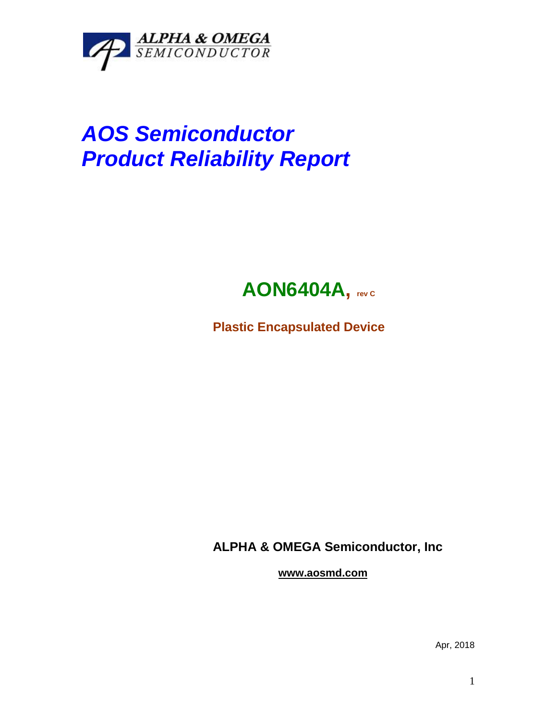

## *AOS Semiconductor Product Reliability Report*



**Plastic Encapsulated Device**

**ALPHA & OMEGA Semiconductor, Inc**

**www.aosmd.com**

Apr, 2018